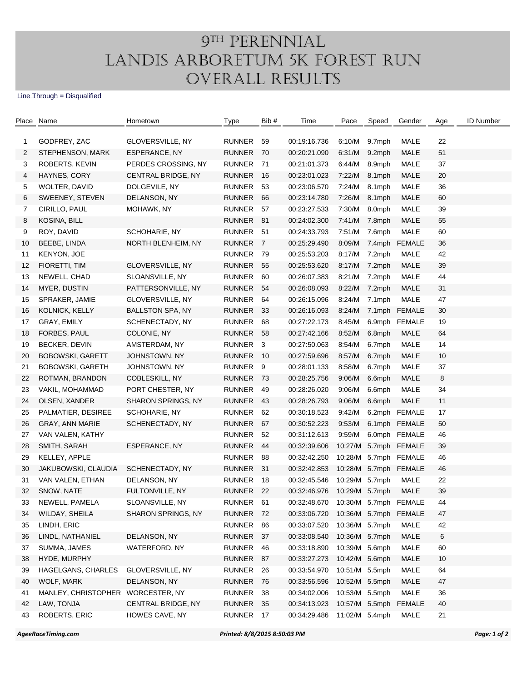## 9TH PERENNIAL Landis Arboretum 5K Forest Run Overall Results

## Line Through = Disqualified

| Place | Name                              | Hometown                  | Type                | Bib #          | Time                               | Pace           | Speed  | Gender                | Age | <b>ID Number</b> |
|-------|-----------------------------------|---------------------------|---------------------|----------------|------------------------------------|----------------|--------|-----------------------|-----|------------------|
|       |                                   |                           |                     |                |                                    |                |        |                       |     |                  |
| 1     | GODFREY, ZAC                      | GLOVERSVILLE, NY          | <b>RUNNER</b>       | 59             | 00:19:16.736                       | 6:10/M         | 9.7mph | MALE                  | 22  |                  |
| 2     | STEPHENSON, MARK                  | ESPERANCE, NY             | <b>RUNNER</b>       | 70             | 00:20:21.090                       | 6:31/M         | 9.2mph | <b>MALE</b>           | 51  |                  |
| 3     | ROBERTS, KEVIN                    | PERDES CROSSING, NY       | RUNNER              | -71            | 00:21:01.373                       | 6:44/M         | 8.9mph | MALE                  | 37  |                  |
| 4     | HAYNES, CORY                      | CENTRAL BRIDGE, NY        | <b>RUNNER</b>       | 16             | 00:23:01.023                       | 7:22/M         | 8.1mph | <b>MALE</b>           | 20  |                  |
| 5     | WOLTER, DAVID                     | DOLGEVILE, NY             | RUNNER              | 53             | 00:23:06.570                       | 7:24/M         | 8.1mph | MALE                  | 36  |                  |
| 6     | SWEENEY, STEVEN                   | DELANSON, NY              | <b>RUNNER</b>       | 66             | 00:23:14.780                       | 7:26/M         | 8.1mph | <b>MALE</b>           | 60  |                  |
| 7     | CIRILLO, PAUL                     | MOHAWK, NY                | <b>RUNNER</b>       | 57             | 00:23:27.533                       | 7:30/M         | 8.0mph | MALE                  | 39  |                  |
| 8     | KOSINA, BILL                      |                           | RUNNER              | 81             | 00:24:02.300                       | 7:41/M         | 7.8mph | <b>MALE</b>           | 55  |                  |
| 9     | ROY, DAVID                        | SCHOHARIE, NY             | RUNNER              | -51            | 00:24:33.793                       | 7:51/M         | 7.6mph | MALE                  | 60  |                  |
| 10    | BEEBE, LINDA                      | NORTH BLENHEIM, NY        | RUNNER              | $\overline{7}$ | 00:25:29.490                       | 8:09/M         | 7.4mph | <b>FEMALE</b>         | 36  |                  |
| 11    | KENYON, JOE                       |                           | <b>RUNNER</b>       | 79             | 00:25:53.203                       | 8:17/M         | 7.2mph | MALE                  | 42  |                  |
| 12    | FIORETTI, TIM                     | GLOVERSVILLE, NY          | <b>RUNNER</b>       | 55             | 00:25:53.620                       | 8:17/M         | 7.2mph | <b>MALE</b>           | 39  |                  |
| 13    | NEWELL, CHAD                      | SLOANSVILLE, NY           | <b>RUNNER</b>       | 60             | 00:26:07.383                       | 8:21/M         | 7.2mph | MALE                  | 44  |                  |
| 14    | MYER, DUSTIN                      | PATTERSONVILLE, NY        | RUNNER              | 54             | 00:26:08.093                       | 8:22/M         | 7.2mph | <b>MALE</b>           | 31  |                  |
| 15    | SPRAKER, JAMIE                    | GLOVERSVILLE, NY          | <b>RUNNER</b>       | 64             | 00:26:15.096                       | 8:24/M         | 7.1mph | MALE                  | 47  |                  |
| 16    | KOLNICK, KELLY                    | <b>BALLSTON SPA, NY</b>   | <b>RUNNER</b>       | -33            | 00:26:16.093                       | 8:24/M         |        | 7.1mph FEMALE         | 30  |                  |
| 17    | GRAY, EMILY                       | SCHENECTADY, NY           | RUNNER              | 68             | 00:27:22.173                       | 8:45/M         |        | 6.9mph FEMALE         | 19  |                  |
| 18    | FORBES, PAUL                      | COLONIE, NY               | RUNNER              | 58             | 00:27:42.166                       | 8:52/M         | 6.8mph | <b>MALE</b>           | 64  |                  |
| 19    | BECKER, DEVIN                     | AMSTERDAM, NY             | RUNNER <sub>3</sub> |                | 00:27:50.063                       | 8:54/M         | 6.7mph | MALE                  | 14  |                  |
| 20    | <b>BOBOWSKI, GARETT</b>           | JOHNSTOWN, NY             | <b>RUNNER</b>       | - 10           | 00:27:59.696                       | 8:57/M         | 6.7mph | <b>MALE</b>           | 10  |                  |
| 21    | <b>BOBOWSKI, GARETH</b>           | JOHNSTOWN, NY             | RUNNER              | 9              | 00:28:01.133                       | 8:58/M         | 6.7mph | MALE                  | 37  |                  |
| 22    | ROTMAN, BRANDON                   | COBLESKILL, NY            | <b>RUNNER</b>       | -73            | 00:28:25.756                       | 9:06/M         | 6.6mph | <b>MALE</b>           | 8   |                  |
| 23    | VAKIL, MOHAMMAD                   | PORT CHESTER, NY          | RUNNER              | 49             | 00:28:26.020                       | 9:06/M         | 6.6mph | MALE                  | 34  |                  |
| 24    | OLSEN, XANDER                     | <b>SHARON SPRINGS, NY</b> | <b>RUNNER</b>       | 43             | 00:28:26.793                       | 9:06/M         | 6.6mph | MALE                  | 11  |                  |
| 25    | PALMATIER, DESIREE                | SCHOHARIE, NY             | RUNNER              | 62             | 00:30:18.523                       | 9:42/M         |        | 6.2mph FEMALE         | 17  |                  |
| 26    | GRAY, ANN MARIE                   | SCHENECTADY, NY           | RUNNER              | 67             | 00:30:52.223                       | 9:53/M         |        | 6.1mph FEMALE         | 50  |                  |
| 27    | VAN VALEN, KATHY                  |                           | RUNNER              | 52             | 00:31:12.613                       | 9:59/M         |        | 6.0mph FEMALE         | 46  |                  |
| 28    | SMITH, SARAH                      | ESPERANCE, NY             | <b>RUNNER</b>       | 44             | 00:32:39.606                       |                |        | 10:27/M 5.7mph FEMALE | 39  |                  |
| 29    | KELLEY, APPLE                     |                           | <b>RUNNER</b>       | 88             | 00:32:42.250                       | 10:28/M        |        | 5.7mph FEMALE         | 46  |                  |
| 30    | JAKUBOWSKI, CLAUDIA               | SCHENECTADY, NY           | RUNNER              | -31            | 00:32:42.853                       |                |        | 10:28/M 5.7mph FEMALE | 46  |                  |
| 31    | VAN VALEN, ETHAN                  | DELANSON, NY              | <b>RUNNER</b>       | 18             | 00:32:45.546                       | 10:29/M 5.7mph |        | MALE                  | 22  |                  |
| 32    | SNOW, NATE                        | FULTONVILLE, NY           | RUNNER              | 22             | 00:32:46.976 10:29/M 5.7mph        |                |        | <b>MALE</b>           | 39  |                  |
| 33    | NEWELL, PAMELA                    | SLOANSVILLE, NY           | RUNNER              | 61             | 00:32:48.670 10:30/M 5.7mph FEMALE |                |        |                       | 44  |                  |
| 34    | WILDAY, SHEILA                    | SHARON SPRINGS, NY        | RUNNER              | - 72           | 00:33:06.720                       |                |        | 10:36/M 5.7mph FEMALE | 47  |                  |
| 35    | LINDH, ERIC                       |                           | RUNNER              | 86             | 00:33:07.520                       | 10:36/M 5.7mph |        | MALE                  | 42  |                  |
| 36    | LINDL, NATHANIEL                  | DELANSON, NY              | RUNNER              | - 37           | 00:33:08.540                       | 10:36/M 5.7mph |        | MALE                  | 6   |                  |
| 37    | SUMMA, JAMES                      | <b>WATERFORD, NY</b>      | <b>RUNNER</b>       | 46             | 00:33:18.890                       | 10:39/M 5.6mph |        | MALE                  | 60  |                  |
| 38    | HYDE, MURPHY                      |                           | RUNNER              |                | 00:33:27.273                       | 10:42/M 5.6mph |        | <b>MALE</b>           | 10  |                  |
|       | HAGELGANS, CHARLES                |                           |                     | 87             |                                    |                |        |                       | 64  |                  |
| 39    |                                   | GLOVERSVILLE, NY          | <b>RUNNER</b>       | 26             | 00:33:54.970                       | 10:51/M 5.5mph |        | MALE                  | 47  |                  |
| 40    | WOLF, MARK                        | DELANSON, NY              | <b>RUNNER</b>       | 76             | 00:33:56.596                       | 10:52/M 5.5mph |        | MALE                  |     |                  |
| 41    | MANLEY, CHRISTOPHER WORCESTER, NY |                           | <b>RUNNER</b>       | 38             | 00:34:02.006                       | 10:53/M 5.5mph |        | MALE                  | 36  |                  |
| 42    | LAW, TONJA                        | CENTRAL BRIDGE, NY        | <b>RUNNER</b>       | 35             | 00:34:13.923                       | 10:57/M 5.5mph |        | <b>FEMALE</b>         | 40  |                  |
| 43    | ROBERTS, ERIC                     | HOWES CAVE, NY            | RUNNER              | 17             | 00:34:29.486                       | 11:02/M 5.4mph |        | MALE                  | 21  |                  |